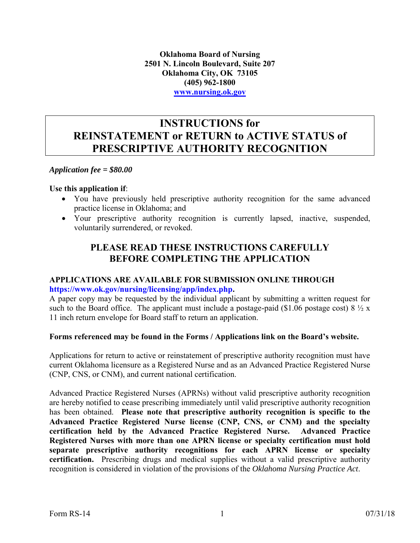**Oklahoma Board of Nursing 2501 N. Lincoln Boulevard, Suite 207 Oklahoma City, OK 73105 (405) 962-1800 [www.nursing.ok.gov](Drafts/Rules%20082516/www.nursing.ok.gov)**

### **INSTRUCTIONS for REINSTATEMENT or RETURN to ACTIVE STATUS of PRESCRIPTIVE AUTHORITY RECOGNITION**

*Application fee = \$80.00* 

#### **Use this application if**:

- You have previously held prescriptive authority recognition for the same advanced practice license in Oklahoma; and
- Your prescriptive authority recognition is currently lapsed, inactive, suspended, voluntarily surrendered, or revoked.

### **PLEASE READ THESE INSTRUCTIONS CAREFULLY BEFORE COMPLETING THE APPLICATION**

#### **APPLICATIONS ARE AVAILABLE FOR SUBMISSION ONLINE THROUGH [https://www.ok.gov/nursing/licensing/app/index.php.](https://www.ok.gov/nursing/licensing/app/index.php)**

A paper copy may be requested by the individual applicant by submitting a written request for such to the Board office. The applicant must include a postage-paid (\$1.06 postage cost)  $8\frac{1}{2}x$ 11 inch return envelope for Board staff to return an application.

#### **Forms referenced may be found in the Forms / Applications link on the Board's website.**

Applications for return to active or reinstatement of prescriptive authority recognition must have current Oklahoma licensure as a Registered Nurse and as an Advanced Practice Registered Nurse (CNP, CNS, or CNM), and current national certification.

Advanced Practice Registered Nurses (APRNs) without valid prescriptive authority recognition are hereby notified to cease prescribing immediately until valid prescriptive authority recognition has been obtained. **Please note that prescriptive authority recognition is specific to the Advanced Practice Registered Nurse license (CNP, CNS, or CNM) and the specialty certification held by the Advanced Practice Registered Nurse. Advanced Practice Registered Nurses with more than one APRN license or specialty certification must hold separate prescriptive authority recognitions for each APRN license or specialty certification.** Prescribing drugs and medical supplies without a valid prescriptive authority recognition is considered in violation of the provisions of the *Oklahoma Nursing Practice Act*.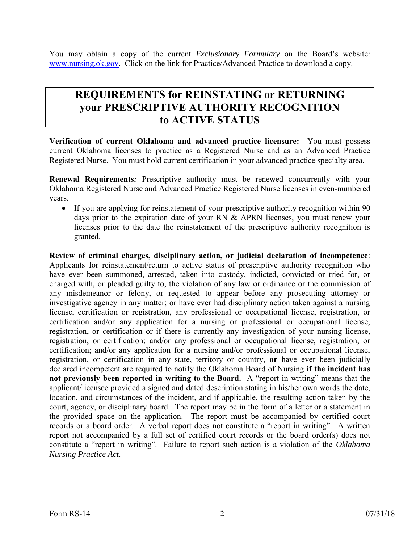You may obtain a copy of the current *Exclusionary Formulary* on the Board's website: [www.nursing.ok.gov.](Drafts/Rules%20082516/www.nursing.ok.gov) Click on the link for Practice/Advanced Practice to download a copy.

## **REQUIREMENTS for REINSTATING or RETURNING your PRESCRIPTIVE AUTHORITY RECOGNITION to ACTIVE STATUS**

**Verification of current Oklahoma and advanced practice licensure:** You must possess current Oklahoma licenses to practice as a Registered Nurse and as an Advanced Practice Registered Nurse. You must hold current certification in your advanced practice specialty area.

**Renewal Requirements***:* Prescriptive authority must be renewed concurrently with your Oklahoma Registered Nurse and Advanced Practice Registered Nurse licenses in even-numbered years.

 If you are applying for reinstatement of your prescriptive authority recognition within 90 days prior to the expiration date of your RN & APRN licenses, you must renew your licenses prior to the date the reinstatement of the prescriptive authority recognition is granted.

**Review of criminal charges, disciplinary action, or judicial declaration of incompetence**: Applicants for reinstatement/return to active status of prescriptive authority recognition who have ever been summoned, arrested, taken into custody, indicted, convicted or tried for, or charged with, or pleaded guilty to, the violation of any law or ordinance or the commission of any misdemeanor or felony, or requested to appear before any prosecuting attorney or investigative agency in any matter; or have ever had disciplinary action taken against a nursing license, certification or registration, any professional or occupational license, registration, or certification and/or any application for a nursing or professional or occupational license, registration, or certification or if there is currently any investigation of your nursing license, registration, or certification; and/or any professional or occupational license, registration, or certification; and/or any application for a nursing and/or professional or occupational license, registration, or certification in any state, territory or country, **or** have ever been judicially declared incompetent are required to notify the Oklahoma Board of Nursing **if the incident has not previously been reported in writing to the Board.** A "report in writing" means that the applicant/licensee provided a signed and dated description stating in his/her own words the date, location, and circumstances of the incident, and if applicable, the resulting action taken by the court, agency, or disciplinary board. The report may be in the form of a letter or a statement in the provided space on the application. The report must be accompanied by certified court records or a board order. A verbal report does not constitute a "report in writing". A written report not accompanied by a full set of certified court records or the board order(s) does not constitute a "report in writing". Failure to report such action is a violation of the *Oklahoma Nursing Practice Act*.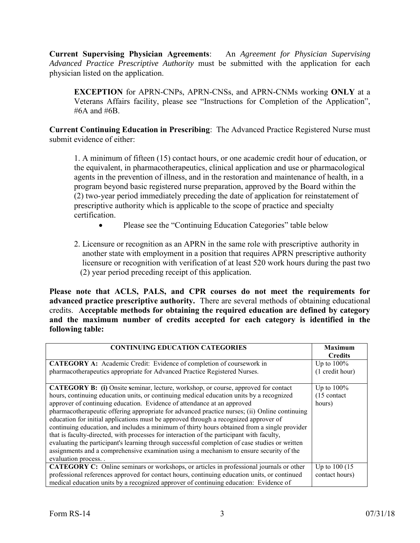**Current Supervising Physician Agreements**: An *Agreement for Physician Supervising Advanced Practice Prescriptive Authority* must be submitted with the application for each physician listed on the application.

**EXCEPTION** for APRN-CNPs, APRN-CNSs, and APRN-CNMs working **ONLY** at a Veterans Affairs facility, please see "Instructions for Completion of the Application", #6A and #6B.

**Current Continuing Education in Prescribing**: The Advanced Practice Registered Nurse must submit evidence of either:

1. A minimum of fifteen (15) contact hours, or one academic credit hour of education, or the equivalent, in pharmacotherapeutics, clinical application and use or pharmacological agents in the prevention of illness, and in the restoration and maintenance of health, in a program beyond basic registered nurse preparation, approved by the Board within the (2) two-year period immediately preceding the date of application for reinstatement of prescriptive authority which is applicable to the scope of practice and specialty certification.

- Please see the "Continuing Education Categories" table below
- 2. Licensure or recognition as an APRN in the same role with prescriptive authority in another state with employment in a position that requires APRN prescriptive authority licensure or recognition with verification of at least 520 work hours during the past two (2) year period preceding receipt of this application.

**Please note that ACLS, PALS, and CPR courses do not meet the requirements for advanced practice prescriptive authority.** There are several methods of obtaining educational credits. **Acceptable methods for obtaining the required education are defined by category and the maximum number of credits accepted for each category is identified in the following table:** 

| <b>CONTINUING EDUCATION CATEGORIES</b>                                                                                                                                                                                                                                                                                                                                                                                                                                                                                                                                                                                                                                                                                                                                                                                                                                | <b>Maximum</b><br><b>Credits</b>                  |
|-----------------------------------------------------------------------------------------------------------------------------------------------------------------------------------------------------------------------------------------------------------------------------------------------------------------------------------------------------------------------------------------------------------------------------------------------------------------------------------------------------------------------------------------------------------------------------------------------------------------------------------------------------------------------------------------------------------------------------------------------------------------------------------------------------------------------------------------------------------------------|---------------------------------------------------|
| <b>CATEGORY A:</b> Academic Credit: Evidence of completion of coursework in<br>pharmacotherapeutics appropriate for Advanced Practice Registered Nurses.                                                                                                                                                                                                                                                                                                                                                                                                                                                                                                                                                                                                                                                                                                              | Up to $100\%$<br>(1 credit hour)                  |
| CATEGORY B: (i) Onsite seminar, lecture, workshop, or course, approved for contact<br>hours, continuing education units, or continuing medical education units by a recognized<br>approver of continuing education. Evidence of attendance at an approved<br>pharmacotherapeutic offering appropriate for advanced practice nurses; (ii) Online continuing<br>education for initial applications must be approved through a recognized approver of<br>continuing education, and includes a minimum of thirty hours obtained from a single provider<br>that is faculty-directed, with processes for interaction of the participant with faculty,<br>evaluating the participant's learning through successful completion of case studies or written<br>assignments and a comprehensive examination using a mechanism to ensure security of the<br>evaluation process. . | Up to $100\%$<br>$(15 \text{ contact})$<br>hours) |
| CATEGORY C: Online seminars or workshops, or articles in professional journals or other<br>professional references approved for contact hours, continuing education units, or continued<br>medical education units by a recognized approver of continuing education: Evidence of                                                                                                                                                                                                                                                                                                                                                                                                                                                                                                                                                                                      | Up to $100(15)$<br>contact hours)                 |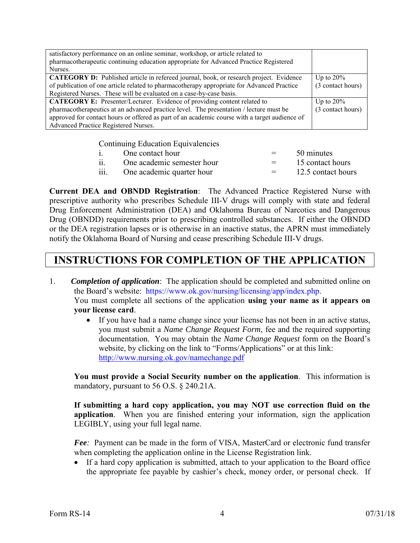| satisfactory performance on an online seminar, workshop, or article related to<br>pharmacotherapeutic continuing education appropriate for Advanced Practice Registered                     |                                   |
|---------------------------------------------------------------------------------------------------------------------------------------------------------------------------------------------|-----------------------------------|
| Nurses.                                                                                                                                                                                     |                                   |
| <b>CATEGORY D:</b> Published article in refereed journal, book, or research project. Evidence<br>of publication of one article related to pharmacotherapy appropriate for Advanced Practice | Up to $20\%$<br>(3 contact hours) |
| Registered Nurses. These will be evaluated on a case-by-case basis.                                                                                                                         |                                   |
| <b>CATEGORY E:</b> Presenter/Lecturer. Evidence of providing content related to                                                                                                             | Up to $20\%$                      |
| pharmacotherapeutics at an advanced practice level. The presentation / lecture must be                                                                                                      | (3 contact hours)                 |
| approved for contact hours or offered as part of an academic course with a target audience of                                                                                               |                                   |
| Advanced Practice Registered Nurses.                                                                                                                                                        |                                   |

Continuing Education Equivalencies

|                    | One contact hour           | $=$ $-$           | 50 minutes         |
|--------------------|----------------------------|-------------------|--------------------|
|                    | One academic semester hour | $=$ $-$           | 15 contact hours   |
| $\overline{111}$ . | One academic quarter hour  | $\equiv$ $\equiv$ | 12.5 contact hours |

**Current DEA and OBNDD Registration**: The Advanced Practice Registered Nurse with prescriptive authority who prescribes Schedule III-V drugs will comply with state and federal Drug Enforcement Administration (DEA) and Oklahoma Bureau of Narcotics and Dangerous Drug (OBNDD) requirements prior to prescribing controlled substances. If either the OBNDD or the DEA registration lapses or is otherwise in an inactive status, the APRN must immediately notify the Oklahoma Board of Nursing and cease prescribing Schedule III-V drugs.

# **INSTRUCTIONS FOR COMPLETION OF THE APPLICATION**

- 1. *Completion of application*: The application should be completed and submitted online on the Board's website: [https://www.ok.gov/nursing/licensing/app/index.php.](https://www.ok.gov/nursing/licensing/app/index.php) You must complete all sections of the application **using your name as it appears on your license card**.
	- If you have had a name change since your license has not been in an active status, you must submit a *Name Change Request Form*, fee and the required supporting documentation. You may obtain the *Name Change Request* form on the Board's website, by clicking on the link to "Forms/Applications" or at this link: [http://www.nursing.ok.gov/namechange.pdf](http://www.ok.gov/nursing/namechange.pdf)

**You must provide a Social Security number on the application**. This information is mandatory, pursuant to 56 O.S. § 240.21A.

**If submitting a hard copy application, you may NOT use correction fluid on the application**. When you are finished entering your information, sign the application LEGIBLY, using your full legal name.

 *Fee:* Payment can be made in the form of VISA, MasterCard or electronic fund transfer when completing the application online in the License Registration link.

• If a hard copy application is submitted, attach to your application to the Board office the appropriate fee payable by cashier's check, money order, or personal check. If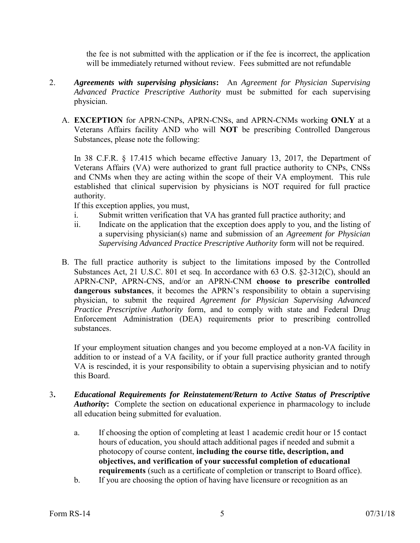the fee is not submitted with the application or if the fee is incorrect, the application will be immediately returned without review. Fees submitted are not refundable

- 2. *Agreements with supervising physicians***:** An *Agreement for Physician Supervising Advanced Practice Prescriptive Authority* must be submitted for each supervising physician.
	- A. **EXCEPTION** for APRN-CNPs, APRN-CNSs, and APRN-CNMs working **ONLY** at a Veterans Affairs facility AND who will **NOT** be prescribing Controlled Dangerous Substances, please note the following:

In 38 C.F.R. § 17.415 which became effective January 13, 2017, the Department of Veterans Affairs (VA) were authorized to grant full practice authority to CNPs, CNSs and CNMs when they are acting within the scope of their VA employment. This rule established that clinical supervision by physicians is NOT required for full practice authority.

If this exception applies, you must,

- i. Submit written verification that VA has granted full practice authority; and
- ii. Indicate on the application that the exception does apply to you, and the listing of a supervising physician(s) name and submission of an *Agreement for Physician Supervising Advanced Practice Prescriptive Authority* form will not be required.
- B. The full practice authority is subject to the limitations imposed by the Controlled Substances Act, 21 U.S.C. 801 et seq. In accordance with 63 O.S. §2-312(C), should an APRN-CNP, APRN-CNS, and/or an APRN-CNM **choose to prescribe controlled dangerous substances**, it becomes the APRN's responsibility to obtain a supervising physician, to submit the required *Agreement for Physician Supervising Advanced Practice Prescriptive Authority* form, and to comply with state and Federal Drug Enforcement Administration (DEA) requirements prior to prescribing controlled substances.

If your employment situation changes and you become employed at a non-VA facility in addition to or instead of a VA facility, or if your full practice authority granted through VA is rescinded, it is your responsibility to obtain a supervising physician and to notify this Board.

- 3**.** *Educational Requirements for Reinstatement/Return to Active Status of Prescriptive*  **Authority:** Complete the section on educational experience in pharmacology to include all education being submitted for evaluation.
	- a. If choosing the option of completing at least 1 academic credit hour or 15 contact hours of education, you should attach additional pages if needed and submit a photocopy of course content, **including the course title, description, and objectives, and verification of your successful completion of educational requirements** (such as a certificate of completion or transcript to Board office).
	- b. If you are choosing the option of having have licensure or recognition as an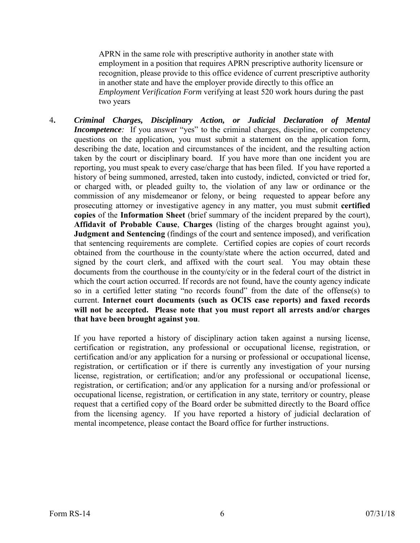APRN in the same role with prescriptive authority in another state with employment in a position that requires APRN prescriptive authority licensure or recognition, please provide to this office evidence of current prescriptive authority in another state and have the employer provide directly to this office an *Employment Verification Form* verifying at least 520 work hours during the past two years

4**.** *Criminal Charges, Disciplinary Action, or Judicial Declaration of Mental Incompetence*: If you answer "yes" to the criminal charges, discipline, or competency questions on the application, you must submit a statement on the application form, describing the date, location and circumstances of the incident, and the resulting action taken by the court or disciplinary board. If you have more than one incident you are reporting, you must speak to every case/charge that has been filed. If you have reported a history of being summoned, arrested, taken into custody, indicted, convicted or tried for, or charged with, or pleaded guilty to, the violation of any law or ordinance or the commission of any misdemeanor or felony, or being requested to appear before any prosecuting attorney or investigative agency in any matter, you must submit **certified copies** of the **Information Sheet** (brief summary of the incident prepared by the court), **Affidavit of Probable Cause**, **Charges** (listing of the charges brought against you), **Judgment and Sentencing** (findings of the court and sentence imposed), and verification that sentencing requirements are complete. Certified copies are copies of court records obtained from the courthouse in the county/state where the action occurred, dated and signed by the court clerk, and affixed with the court seal. You may obtain these documents from the courthouse in the county/city or in the federal court of the district in which the court action occurred. If records are not found, have the county agency indicate so in a certified letter stating "no records found" from the date of the offense(s) to current. **Internet court documents (such as OCIS case reports) and faxed records will not be accepted. Please note that you must report all arrests and/or charges that have been brought against you**.

If you have reported a history of disciplinary action taken against a nursing license, certification or registration, any professional or occupational license, registration, or certification and/or any application for a nursing or professional or occupational license, registration, or certification or if there is currently any investigation of your nursing license, registration, or certification; and/or any professional or occupational license, registration, or certification; and/or any application for a nursing and/or professional or occupational license, registration, or certification in any state, territory or country, please request that a certified copy of the Board order be submitted directly to the Board office from the licensing agency. If you have reported a history of judicial declaration of mental incompetence, please contact the Board office for further instructions.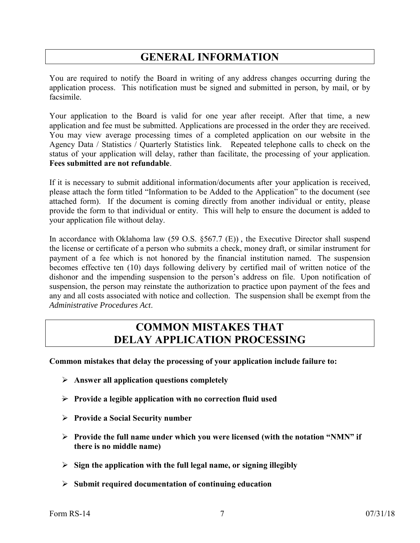# **GENERAL INFORMATION**

You are required to notify the Board in writing of any address changes occurring during the application process. This notification must be signed and submitted in person, by mail, or by facsimile.

Your application to the Board is valid for one year after receipt. After that time, a new application and fee must be submitted. Applications are processed in the order they are received. You may view average processing times of a completed application on our website in the Agency Data / Statistics / Quarterly Statistics link. Repeated telephone calls to check on the status of your application will delay, rather than facilitate, the processing of your application. **Fees submitted are not refundable**.

If it is necessary to submit additional information/documents after your application is received, please attach the form titled "Information to be Added to the Application" to the document (see attached form). If the document is coming directly from another individual or entity, please provide the form to that individual or entity. This will help to ensure the document is added to your application file without delay.

In accordance with Oklahoma law (59 O.S. §567.7 (E)), the Executive Director shall suspend the license or certificate of a person who submits a check, money draft, or similar instrument for payment of a fee which is not honored by the financial institution named. The suspension becomes effective ten (10) days following delivery by certified mail of written notice of the dishonor and the impending suspension to the person's address on file. Upon notification of suspension, the person may reinstate the authorization to practice upon payment of the fees and any and all costs associated with notice and collection. The suspension shall be exempt from the *Administrative Procedures Act*.

### **COMMON MISTAKES THAT DELAY APPLICATION PROCESSING**

**Common mistakes that delay the processing of your application include failure to:** 

- **Answer all application questions completely**
- **Provide a legible application with no correction fluid used**
- **Provide a Social Security number**
- **Provide the full name under which you were licensed (with the notation "NMN" if there is no middle name)**
- **Sign the application with the full legal name, or signing illegibly**
- **Submit required documentation of continuing education**